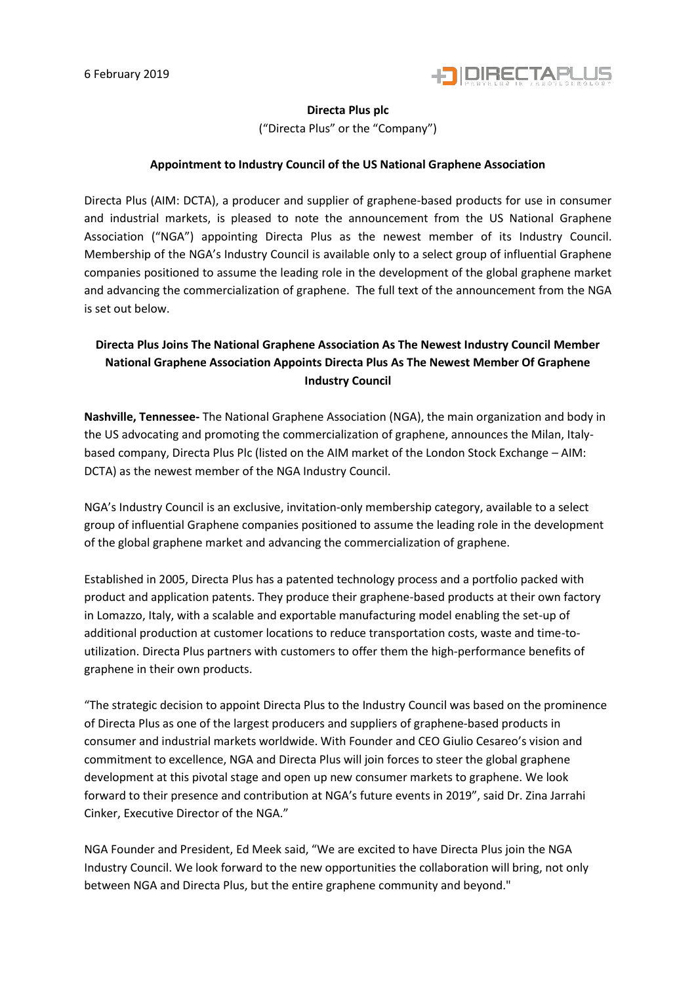

### **Directa Plus plc**

("Directa Plus" or the "Company")

### **Appointment to Industry Council of the US National Graphene Association**

Directa Plus (AIM: DCTA), a producer and supplier of graphene-based products for use in consumer and industrial markets, is pleased to note the announcement from the US National Graphene Association ("NGA") appointing Directa Plus as the newest member of its Industry Council. Membership of the NGA's Industry Council is available only to a select group of influential Graphene companies positioned to assume the leading role in the development of the global graphene market and advancing the commercialization of graphene. The full text of the announcement from the NGA is set out below.

# **Directa Plus Joins The National Graphene Association As The Newest Industry Council Member National Graphene Association Appoints Directa Plus As The Newest Member Of Graphene Industry Council**

**Nashville, Tennessee-** The National Graphene Association (NGA), the main organization and body in the US advocating and promoting the commercialization of graphene, announces the Milan, Italybased company, Directa Plus Plc (listed on the AIM market of the London Stock Exchange – AIM: DCTA) as the newest member of the NGA Industry Council.

NGA's Industry Council is an exclusive, invitation-only membership category, available to a select group of influential Graphene companies positioned to assume the leading role in the development of the global graphene market and advancing the commercialization of graphene.

Established in 2005, Directa Plus has a patented technology process and a portfolio packed with product and application patents. They produce their graphene-based products at their own factory in Lomazzo, Italy, with a scalable and exportable manufacturing model enabling the set-up of additional production at customer locations to reduce transportation costs, waste and time-toutilization. Directa Plus partners with customers to offer them the high-performance benefits of graphene in their own products.

"The strategic decision to appoint Directa Plus to the Industry Council was based on the prominence of Directa Plus as one of the largest producers and suppliers of graphene-based products in consumer and industrial markets worldwide. With Founder and CEO Giulio Cesareo's vision and commitment to excellence, NGA and Directa Plus will join forces to steer the global graphene development at this pivotal stage and open up new consumer markets to graphene. We look forward to their presence and contribution at NGA's future events in 2019", said Dr. Zina Jarrahi Cinker, Executive Director of the NGA."

NGA Founder and President, Ed Meek said, "We are excited to have Directa Plus join the NGA Industry Council. We look forward to the new opportunities the collaboration will bring, not only between NGA and Directa Plus, but the entire graphene community and beyond."